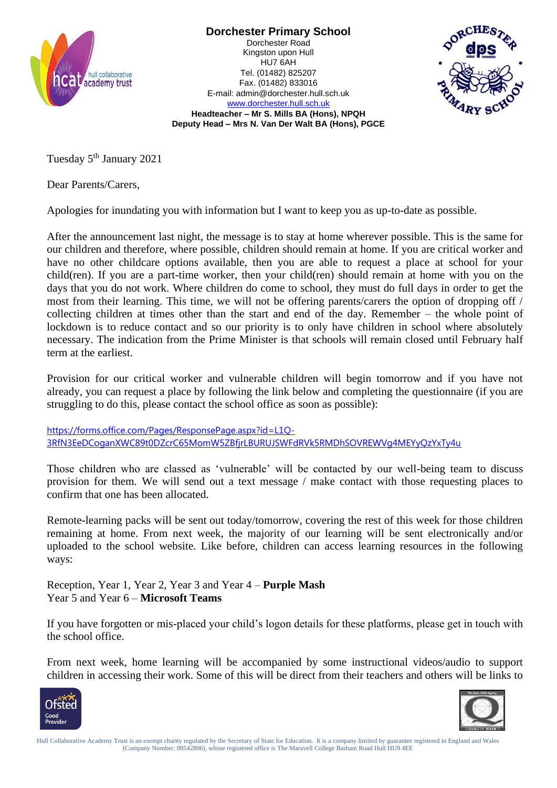

**Dorchester Primary School** Dorchester Road Kingston upon Hull HU7 6AH Tel. (01482) 825207 Fax. (01482) 833016 E-mail: admin@dorchester.hull.sch.uk



[www.dorchester.hull.sch.uk](http://www.dorchester.hull.sch.uk/) **Headteacher – Mr S. Mills BA (Hons), NPQH Deputy Head – Mrs N. Van Der Walt BA (Hons), PGCE**

Tuesday 5<sup>th</sup> January 2021

Dear Parents/Carers,

Apologies for inundating you with information but I want to keep you as up-to-date as possible.

After the announcement last night, the message is to stay at home wherever possible. This is the same for our children and therefore, where possible, children should remain at home. If you are critical worker and have no other childcare options available, then you are able to request a place at school for your child(ren). If you are a part-time worker, then your child(ren) should remain at home with you on the days that you do not work. Where children do come to school, they must do full days in order to get the most from their learning. This time, we will not be offering parents/carers the option of dropping off / collecting children at times other than the start and end of the day. Remember – the whole point of lockdown is to reduce contact and so our priority is to only have children in school where absolutely necessary. The indication from the Prime Minister is that schools will remain closed until February half term at the earliest.

Provision for our critical worker and vulnerable children will begin tomorrow and if you have not already, you can request a place by following the link below and completing the questionnaire (if you are struggling to do this, please contact the school office as soon as possible):

[https://forms.office.com/Pages/ResponsePage.aspx?id=L1Q-](https://forms.office.com/Pages/ResponsePage.aspx?id=L1Q-3RfN3EeDCoganXWC89t0DZcrC65MomW5ZBfjrLBURUJSWFdRVk5RMDhSOVREWVg4MEYyQzYxTy4u)[3RfN3EeDCoganXWC89t0DZcrC65MomW5ZBfjrLBURUJSWFdRVk5RMDhSOVREWVg4MEYyQzYxTy4u](https://forms.office.com/Pages/ResponsePage.aspx?id=L1Q-3RfN3EeDCoganXWC89t0DZcrC65MomW5ZBfjrLBURUJSWFdRVk5RMDhSOVREWVg4MEYyQzYxTy4u)

Those children who are classed as 'vulnerable' will be contacted by our well-being team to discuss provision for them. We will send out a text message / make contact with those requesting places to confirm that one has been allocated.

Remote-learning packs will be sent out today/tomorrow, covering the rest of this week for those children remaining at home. From next week, the majority of our learning will be sent electronically and/or uploaded to the school website. Like before, children can access learning resources in the following ways:

Reception, Year 1, Year 2, Year 3 and Year 4 – **Purple Mash** Year 5 and Year 6 – **Microsoft Teams**

If you have forgotten or mis-placed your child's logon details for these platforms, please get in touch with the school office.

From next week, home learning will be accompanied by some instructional videos/audio to support children in accessing their work. Some of this will be direct from their teachers and others will be links to